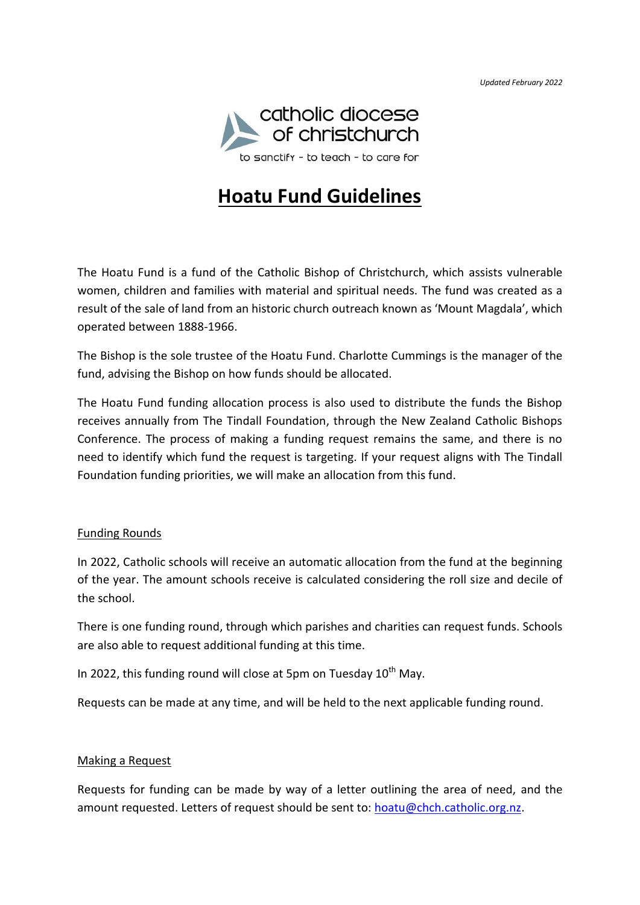*Updated February 2022* 



# **Hoatu Fund Guidelines**

The Hoatu Fund is a fund of the Catholic Bishop of Christchurch, which assists vulnerable women, children and families with material and spiritual needs. The fund was created as a result of the sale of land from an historic church outreach known as 'Mount Magdala', which operated between 1888-1966.

The Bishop is the sole trustee of the Hoatu Fund. Charlotte Cummings is the manager of the fund, advising the Bishop on how funds should be allocated.

The Hoatu Fund funding allocation process is also used to distribute the funds the Bishop receives annually from The Tindall Foundation, through the New Zealand Catholic Bishops Conference. The process of making a funding request remains the same, and there is no need to identify which fund the request is targeting. If your request aligns with The Tindall Foundation funding priorities, we will make an allocation from this fund.

## Funding Rounds

In 2022, Catholic schools will receive an automatic allocation from the fund at the beginning of the year. The amount schools receive is calculated considering the roll size and decile of the school.

There is one funding round, through which parishes and charities can request funds. Schools are also able to request additional funding at this time.

In 2022, this funding round will close at 5pm on Tuesday  $10^{th}$  May.

Requests can be made at any time, and will be held to the next applicable funding round.

## Making a Request

Requests for funding can be made by way of a letter outlining the area of need, and the amount requested. Letters of request should be sent to: [hoatu@chch.catholic.org.nz.](mailto:hoatu@chch.catholic.org.nz)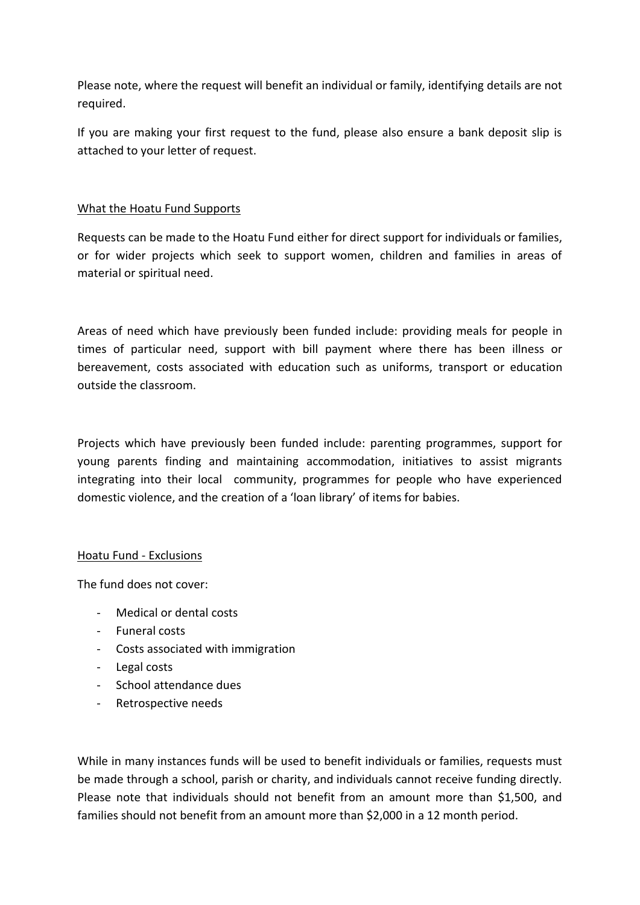Please note, where the request will benefit an individual or family, identifying details are not required.

If you are making your first request to the fund, please also ensure a bank deposit slip is attached to your letter of request.

## What the Hoatu Fund Supports

Requests can be made to the Hoatu Fund either for direct support for individuals or families, or for wider projects which seek to support women, children and families in areas of material or spiritual need.

Areas of need which have previously been funded include: providing meals for people in times of particular need, support with bill payment where there has been illness or bereavement, costs associated with education such as uniforms, transport or education outside the classroom.

Projects which have previously been funded include: parenting programmes, support for young parents finding and maintaining accommodation, initiatives to assist migrants integrating into their local community, programmes for people who have experienced domestic violence, and the creation of a 'loan library' of items for babies.

## Hoatu Fund - Exclusions

The fund does not cover:

- Medical or dental costs
- Funeral costs
- Costs associated with immigration
- Legal costs
- School attendance dues
- Retrospective needs

While in many instances funds will be used to benefit individuals or families, requests must be made through a school, parish or charity, and individuals cannot receive funding directly. Please note that individuals should not benefit from an amount more than \$1,500, and families should not benefit from an amount more than \$2,000 in a 12 month period.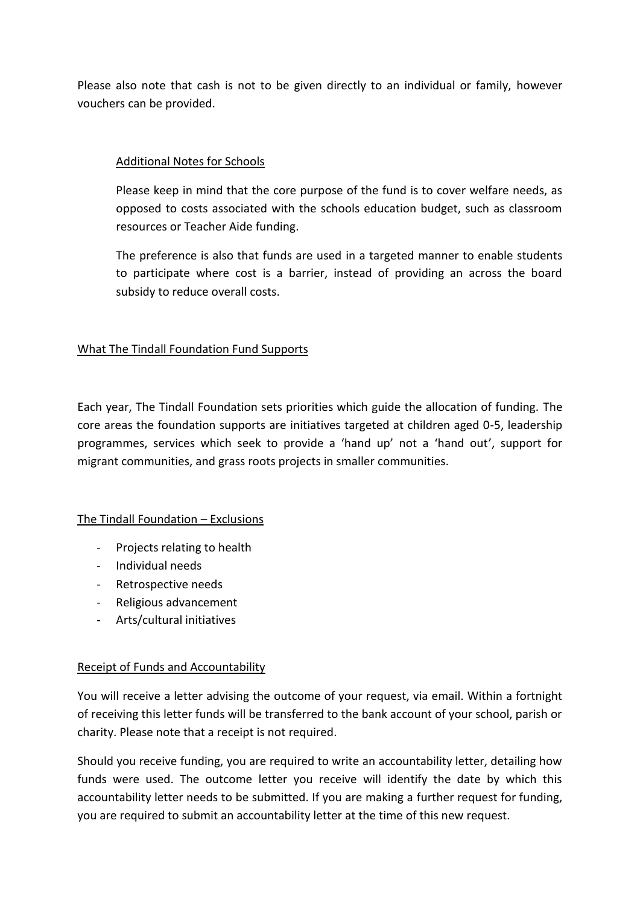Please also note that cash is not to be given directly to an individual or family, however vouchers can be provided.

# Additional Notes for Schools

Please keep in mind that the core purpose of the fund is to cover welfare needs, as opposed to costs associated with the schools education budget, such as classroom resources or Teacher Aide funding.

The preference is also that funds are used in a targeted manner to enable students to participate where cost is a barrier, instead of providing an across the board subsidy to reduce overall costs.

## What The Tindall Foundation Fund Supports

Each year, The Tindall Foundation sets priorities which guide the allocation of funding. The core areas the foundation supports are initiatives targeted at children aged 0-5, leadership programmes, services which seek to provide a 'hand up' not a 'hand out', support for migrant communities, and grass roots projects in smaller communities.

# The Tindall Foundation – Exclusions

- Projects relating to health
- Individual needs
- Retrospective needs
- Religious advancement
- Arts/cultural initiatives

## Receipt of Funds and Accountability

You will receive a letter advising the outcome of your request, via email. Within a fortnight of receiving this letter funds will be transferred to the bank account of your school, parish or charity. Please note that a receipt is not required.

Should you receive funding, you are required to write an accountability letter, detailing how funds were used. The outcome letter you receive will identify the date by which this accountability letter needs to be submitted. If you are making a further request for funding, you are required to submit an accountability letter at the time of this new request.